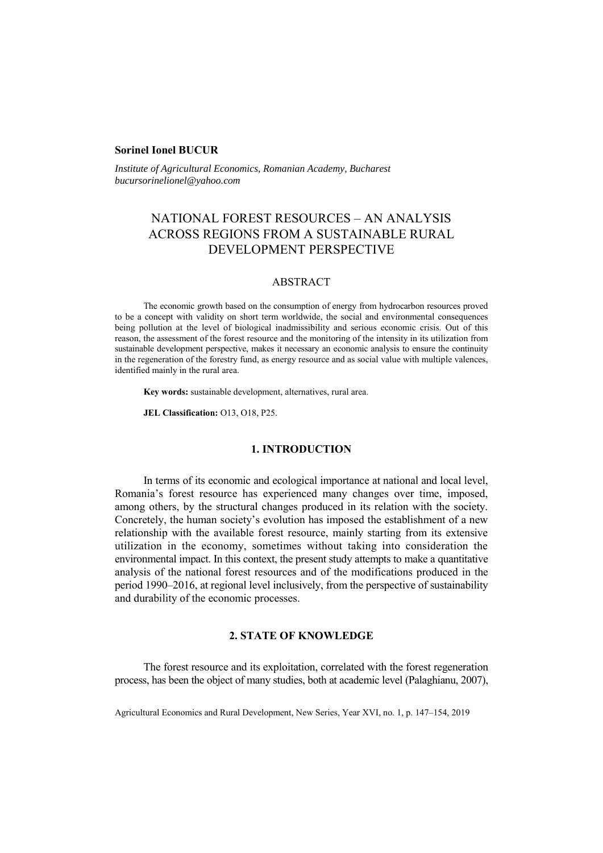### **Sorinel Ionel BUCUR**

*Institute of Agricultural Economics, Romanian Academy, Bucharest bucursorinelionel@yahoo.com* 

# NATIONAL FOREST RESOURCES – AN ANALYSIS ACROSS REGIONS FROM A SUSTAINABLE RURAL DEVELOPMENT PERSPECTIVE

## ABSTRACT

The economic growth based on the consumption of energy from hydrocarbon resources proved to be a concept with validity on short term worldwide, the social and environmental consequences being pollution at the level of biological inadmissibility and serious economic crisis. Out of this reason, the assessment of the forest resource and the monitoring of the intensity in its utilization from sustainable development perspective, makes it necessary an economic analysis to ensure the continuity in the regeneration of the forestry fund, as energy resource and as social value with multiple valences, identified mainly in the rural area.

**Key words:** sustainable development, alternatives, rural area.

**JEL Classification:** O13, O18, P25.

## **1. INTRODUCTION**

In terms of its economic and ecological importance at national and local level, Romania's forest resource has experienced many changes over time, imposed, among others, by the structural changes produced in its relation with the society. Concretely, the human society's evolution has imposed the establishment of a new relationship with the available forest resource, mainly starting from its extensive utilization in the economy, sometimes without taking into consideration the environmental impact. In this context, the present study attempts to make a quantitative analysis of the national forest resources and of the modifications produced in the period 1990–2016, at regional level inclusively, from the perspective of sustainability and durability of the economic processes.

## **2. STATE OF KNOWLEDGE**

The forest resource and its exploitation, correlated with the forest regeneration process, has been the object of many studies, both at academic level (Palaghianu, 2007),

Agricultural Economics and Rural Development, New Series, Year XVI, no. 1, p. 147–154, 2019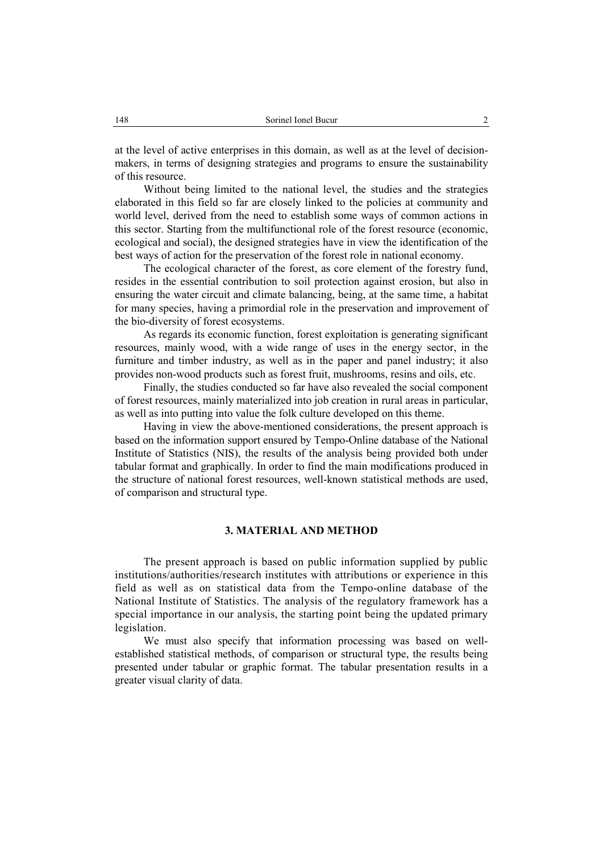at the level of active enterprises in this domain, as well as at the level of decisionmakers, in terms of designing strategies and programs to ensure the sustainability of this resource.

Without being limited to the national level, the studies and the strategies elaborated in this field so far are closely linked to the policies at community and world level, derived from the need to establish some ways of common actions in this sector. Starting from the multifunctional role of the forest resource (economic, ecological and social), the designed strategies have in view the identification of the best ways of action for the preservation of the forest role in national economy.

The ecological character of the forest, as core element of the forestry fund, resides in the essential contribution to soil protection against erosion, but also in ensuring the water circuit and climate balancing, being, at the same time, a habitat for many species, having a primordial role in the preservation and improvement of the bio-diversity of forest ecosystems.

As regards its economic function, forest exploitation is generating significant resources, mainly wood, with a wide range of uses in the energy sector, in the furniture and timber industry, as well as in the paper and panel industry; it also provides non-wood products such as forest fruit, mushrooms, resins and oils, etc.

Finally, the studies conducted so far have also revealed the social component of forest resources, mainly materialized into job creation in rural areas in particular, as well as into putting into value the folk culture developed on this theme.

Having in view the above-mentioned considerations, the present approach is based on the information support ensured by Tempo-Online database of the National Institute of Statistics (NIS), the results of the analysis being provided both under tabular format and graphically. In order to find the main modifications produced in the structure of national forest resources, well-known statistical methods are used, of comparison and structural type.

## **3. MATERIAL AND METHOD**

The present approach is based on public information supplied by public institutions/authorities/research institutes with attributions or experience in this field as well as on statistical data from the Tempo-online database of the National Institute of Statistics. The analysis of the regulatory framework has a special importance in our analysis, the starting point being the updated primary legislation.

We must also specify that information processing was based on wellestablished statistical methods, of comparison or structural type, the results being presented under tabular or graphic format. The tabular presentation results in a greater visual clarity of data.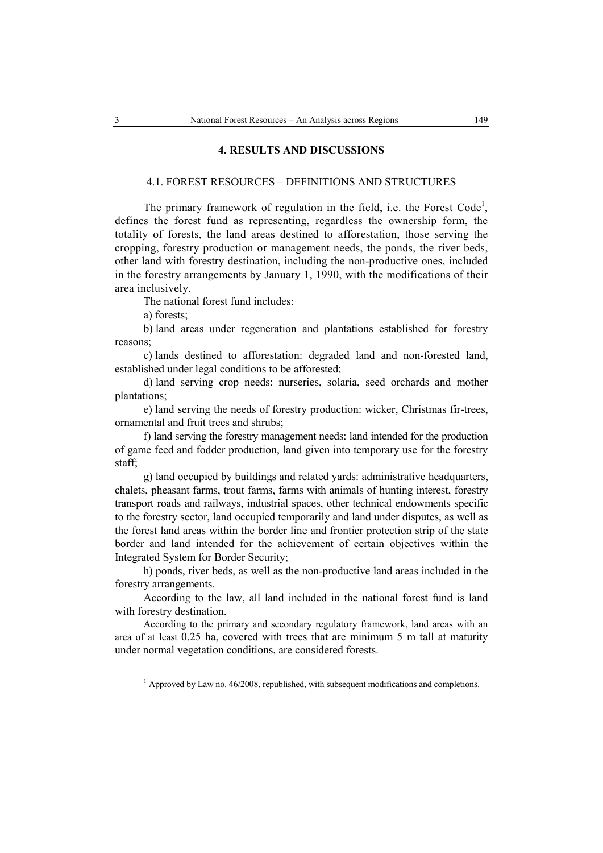#### **4. RESULTS AND DISCUSSIONS**

#### 4.1. FOREST RESOURCES – DEFINITIONS AND STRUCTURES

The primary framework of regulation in the field, i.e. the Forest Code<sup>1</sup>, defines the forest fund as representing, regardless the ownership form, the totality of forests, the land areas destined to afforestation, those serving the cropping, forestry production or management needs, the ponds, the river beds, other land with forestry destination, including the non-productive ones, included in the forestry arrangements by January 1, 1990, with the modifications of their area inclusively*.* 

The national forest fund includes:

a) forests;

b) land areas under regeneration and plantations established for forestry reasons;

c) lands destined to afforestation: degraded land and non-forested land, established under legal conditions to be afforested;

d) land serving crop needs: nurseries, solaria, seed orchards and mother plantations;

e) land serving the needs of forestry production: wicker, Christmas fir-trees, ornamental and fruit trees and shrubs;

f) land serving the forestry management needs: land intended for the production of game feed and fodder production, land given into temporary use for the forestry staff;

g) land occupied by buildings and related yards: administrative headquarters, chalets, pheasant farms, trout farms, farms with animals of hunting interest, forestry transport roads and railways, industrial spaces, other technical endowments specific to the forestry sector, land occupied temporarily and land under disputes, as well as the forest land areas within the border line and frontier protection strip of the state border and land intended for the achievement of certain objectives within the Integrated System for Border Security;

h) ponds, river beds, as well as the non-productive land areas included in the forestry arrangements.

According to the law, all land included in the national forest fund is land with forestry destination.

According to the primary and secondary regulatory framework, land areas with an area of at least 0.25 ha, covered with trees that are minimum 5 m tall at maturity under normal vegetation conditions, are considered forests.

 $<sup>1</sup>$  Approved by Law no. 46/2008, republished, with subsequent modifications and completions.</sup>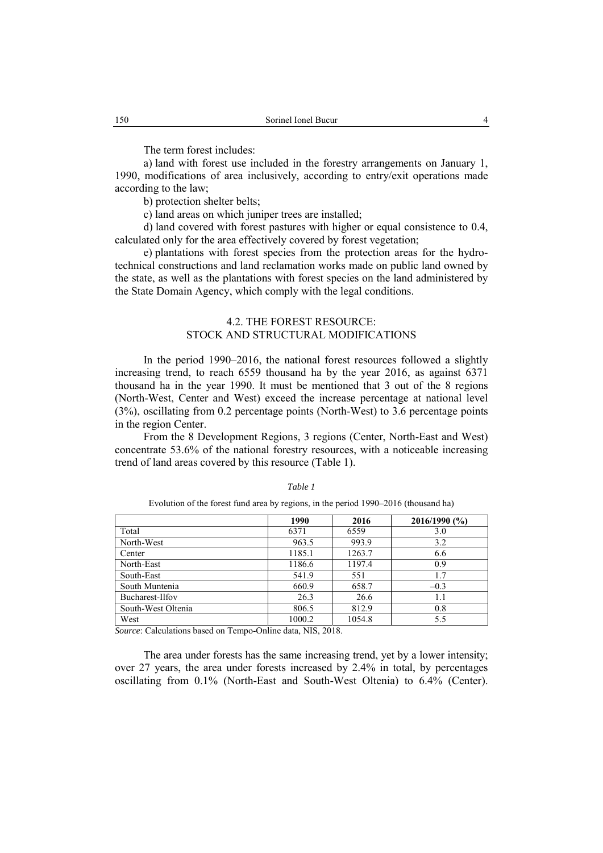The term forest includes:

a) land with forest use included in the forestry arrangements on January 1, 1990, modifications of area inclusively, according to entry/exit operations made according to the law;

b) protection shelter belts;

c) land areas on which juniper trees are installed;

d) land covered with forest pastures with higher or equal consistence to 0.4, calculated only for the area effectively covered by forest vegetation;

e) plantations with forest species from the protection areas for the hydrotechnical constructions and land reclamation works made on public land owned by the state, as well as the plantations with forest species on the land administered by the State Domain Agency, which comply with the legal conditions.

## 4.2. THE FOREST RESOURCE: STOCK AND STRUCTURAL MODIFICATIONS

In the period 1990–2016, the national forest resources followed a slightly increasing trend, to reach 6559 thousand ha by the year 2016, as against 6371 thousand ha in the year 1990. It must be mentioned that 3 out of the 8 regions (North-West, Center and West) exceed the increase percentage at national level (3%), oscillating from 0.2 percentage points (North-West) to 3.6 percentage points in the region Center.

From the 8 Development Regions, 3 regions (Center, North-East and West) concentrate 53.6% of the national forestry resources, with a noticeable increasing trend of land areas covered by this resource (Table 1).

#### *Table 1*

Evolution of the forest fund area by regions, in the period 1990–2016 (thousand ha)

|                    | 1990   | 2016   | 2016/1990(%) |
|--------------------|--------|--------|--------------|
| Total              | 6371   | 6559   | 3.0          |
| North-West         | 963.5  | 993.9  | 3.2          |
| Center             | 1185.1 | 1263.7 | 6.6          |
| North-East         | 1186.6 | 1197.4 | 0.9          |
| South-East         | 541.9  | 551    | 1.7          |
| South Muntenia     | 660.9  | 658.7  | $-0.3$       |
| Bucharest-Ilfov    | 26.3   | 26.6   | 1.1          |
| South-West Oltenia | 806.5  | 812.9  | 0.8          |
| West               | 1000.2 | 1054.8 | 5.5          |

*Source*: Calculations based on Tempo-Online data, NIS, 2018.

The area under forests has the same increasing trend, yet by a lower intensity; over 27 years, the area under forests increased by 2.4% in total, by percentages oscillating from 0.1% (North-East and South-West Oltenia) to 6.4% (Center).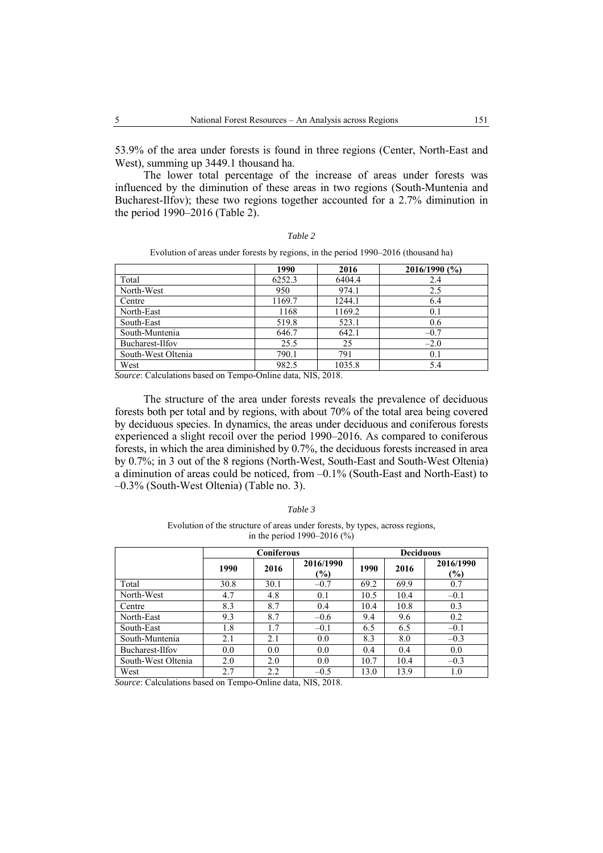53.9% of the area under forests is found in three regions (Center, North-East and West), summing up 3449.1 thousand ha.

The lower total percentage of the increase of areas under forests was influenced by the diminution of these areas in two regions (South-Muntenia and Bucharest-Ilfov); these two regions together accounted for a 2.7% diminution in the period 1990–2016 (Table 2).

| ar<br>" |  |
|---------|--|

|                    | 1990   | 2016   | 2016/1990 (%) |
|--------------------|--------|--------|---------------|
| Total              | 6252.3 | 6404.4 | 2.4           |
| North-West         | 950    | 974.1  | 2.5           |
| Centre             | 1169.7 | 1244.1 | 6.4           |
| North-East         | 1168   | 1169.2 | 0.1           |
| South-East         | 519.8  | 523.1  | 0.6           |
| South-Muntenia     | 646.7  | 642.1  | $-0.7$        |
| Bucharest-Ilfov    | 25.5   | 25     | $-2.0$        |
| South-West Oltenia | 790.1  | 791    | 0.1           |
| West               | 982.5  | 1035.8 | 5.4           |

Evolution of areas under forests by regions, in the period 1990–2016 (thousand ha)

*Source*: Calculations based on Tempo-Online data, NIS, 2018.

The structure of the area under forests reveals the prevalence of deciduous forests both per total and by regions, with about 70% of the total area being covered by deciduous species. In dynamics, the areas under deciduous and coniferous forests experienced a slight recoil over the period 1990–2016. As compared to coniferous forests, in which the area diminished by 0.7%, the deciduous forests increased in area by 0.7%; in 3 out of the 8 regions (North-West, South-East and South-West Oltenia) a diminution of areas could be noticed, from –0.1% (South-East and North-East) to –0.3% (South-West Oltenia) (Table no. 3).

*Table 3* 

Evolution of the structure of areas under forests, by types, across regions, in the period 1990–2016 (%)

|                    | Coniferous |      |                     | <b>Deciduous</b> |      |                  |
|--------------------|------------|------|---------------------|------------------|------|------------------|
|                    | 1990       | 2016 | 2016/1990<br>$(\%)$ | 1990             | 2016 | 2016/1990<br>(%) |
| Total              | 30.8       | 30.1 | $-0.7$              | 69.2             | 69.9 | 0.7              |
| North-West         | 4.7        | 4.8  | 0.1                 | 10.5             | 10.4 | $-0.1$           |
| Centre             | 8.3        | 8.7  | 0.4                 | 10.4             | 10.8 | 0.3              |
| North-East         | 9.3        | 8.7  | $-0.6$              | 9.4              | 9.6  | 0.2              |
| South-East         | 1.8        | 1.7  | $-0.1$              | 6.5              | 6.5  | $-0.1$           |
| South-Muntenia     | 2.1        | 2.1  | 0.0                 | 8.3              | 8.0  | $-0.3$           |
| Bucharest-Ilfov    | 0.0        | 0.0  | 0.0                 | 0.4              | 0.4  | 0.0              |
| South-West Oltenia | 2.0        | 2.0  | 0.0                 | 10.7             | 10.4 | $-0.3$           |
| West               | 2.7        | 2.2  | $-0.5$              | 13.0             | 13.9 | 1.0              |

*Source*: Calculations based on Tempo-Online data, NIS, 2018.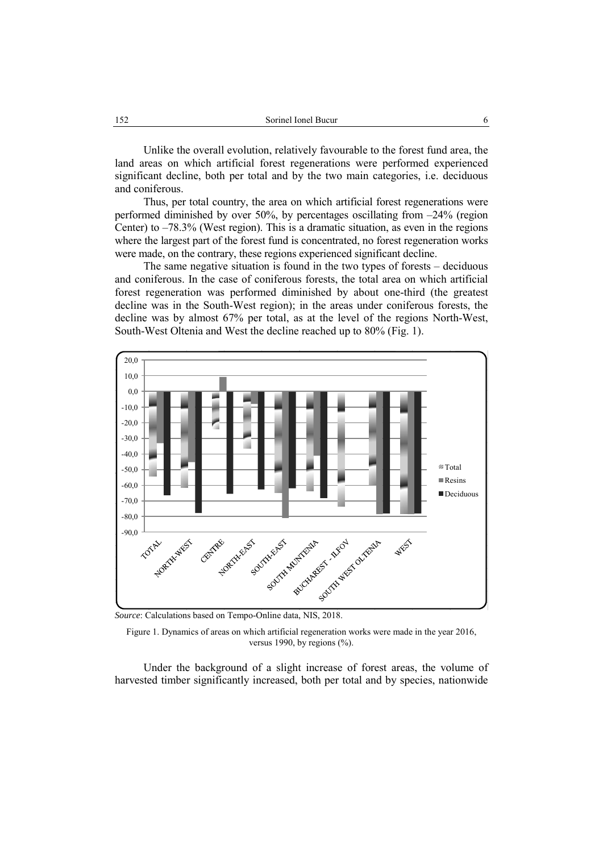Unlike the overall evolution, relatively favourable to the forest fund area, the land areas on which artificial forest regenerations were performed experienced significant decline, both per total and by the two main categories, i.e. deciduous and coniferous.

Thus, per total country, the area on which artificial forest regenerations were performed diminished by over 50%, by percentages oscillating from –24% (region Center) to –78.3% (West region). This is a dramatic situation, as even in the regions where the largest part of the forest fund is concentrated, no forest regeneration works were made, on the contrary, these regions experienced significant decline.

The same negative situation is found in the two types of forests – deciduous and coniferous. In the case of coniferous forests, the total area on which artificial forest regeneration was performed diminished by about one-third (the greatest decline was in the South-West region); in the areas under coniferous forests, the decline was by almost 67% per total, as at the level of the regions North-West, South-West Oltenia and West the decline reached up to 80% (Fig. 1).



*Source*: Calculations based on Tempo-Online data, NIS, 2018.

Figure 1. Dynamics of areas on which artificial regeneration works were made in the year 2016, versus 1990, by regions  $(\% )$ .

Under the background of a slight increase of forest areas, the volume of harvested timber significantly increased, both per total and by species, nationwide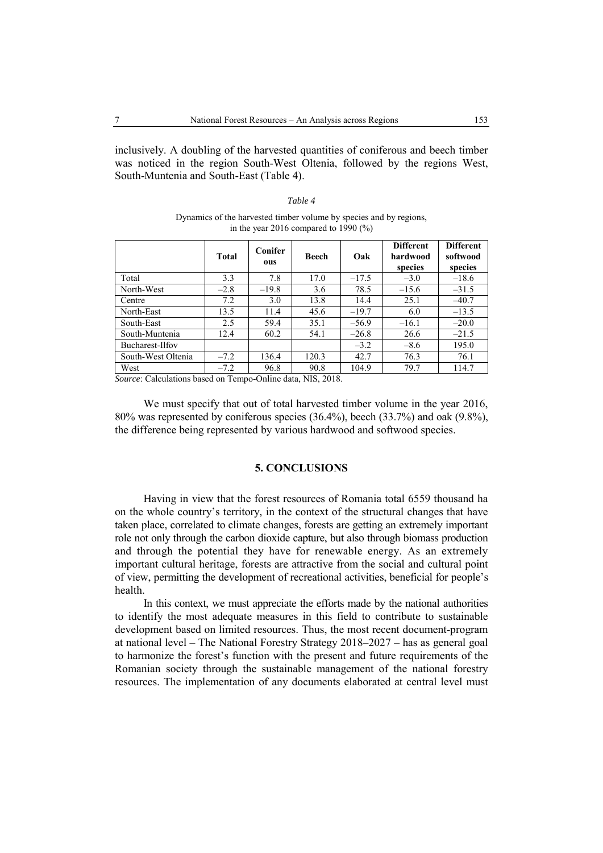inclusively. A doubling of the harvested quantities of coniferous and beech timber was noticed in the region South-West Oltenia, followed by the regions West, South-Muntenia and South-East (Table 4).

| ant |  |
|-----|--|
|-----|--|

Dynamics of the harvested timber volume by species and by regions, in the year 2016 compared to 1990 (%)

|                    | <b>Total</b> | <b>Conifer</b><br>ous | Beech | Oak     | <b>Different</b><br>hardwood<br>species | <b>Different</b><br>softwood<br>species |
|--------------------|--------------|-----------------------|-------|---------|-----------------------------------------|-----------------------------------------|
| Total              | 3.3          | 7.8                   | 17.0  | $-17.5$ | $-3.0$                                  | $-18.6$                                 |
| North-West         | $-2.8$       | $-19.8$               | 3.6   | 78.5    | $-15.6$                                 | $-31.5$                                 |
| Centre             | 7.2          | 3.0                   | 13.8  | 14.4    | 25.1                                    | $-40.7$                                 |
| North-East         | 13.5         | 11.4                  | 45.6  | $-19.7$ | 6.0                                     | $-13.5$                                 |
| South-East         | 2.5          | 59.4                  | 35.1  | $-56.9$ | $-16.1$                                 | $-20.0$                                 |
| South-Muntenia     | 12.4         | 60.2                  | 54.1  | $-26.8$ | 26.6                                    | $-21.5$                                 |
| Bucharest-Ilfov    |              |                       |       | $-3.2$  | $-8.6$                                  | 195.0                                   |
| South-West Oltenia | $-7.2$       | 136.4                 | 120.3 | 42.7    | 76.3                                    | 76.1                                    |
| West               | $-7.2$       | 96.8                  | 90.8  | 104.9   | 79.7                                    | 114.7                                   |

*Source*: Calculations based on Tempo-Online data, NIS, 2018.

We must specify that out of total harvested timber volume in the year 2016, 80% was represented by coniferous species (36.4%), beech (33.7%) and oak (9.8%), the difference being represented by various hardwood and softwood species.

## **5. CONCLUSIONS**

Having in view that the forest resources of Romania total 6559 thousand ha on the whole country's territory, in the context of the structural changes that have taken place, correlated to climate changes, forests are getting an extremely important role not only through the carbon dioxide capture, but also through biomass production and through the potential they have for renewable energy. As an extremely important cultural heritage, forests are attractive from the social and cultural point of view, permitting the development of recreational activities, beneficial for people's health.

In this context, we must appreciate the efforts made by the national authorities to identify the most adequate measures in this field to contribute to sustainable development based on limited resources. Thus, the most recent document-program at national level – The National Forestry Strategy 2018–2027 – has as general goal to harmonize the forest's function with the present and future requirements of the Romanian society through the sustainable management of the national forestry resources. The implementation of any documents elaborated at central level must